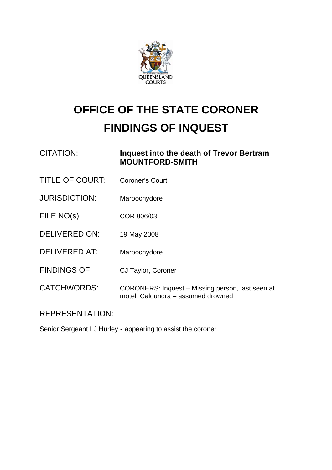

## **OFFICE OF THE STATE CORONER FINDINGS OF INQUEST**

| <b>CITATION:</b>       | Inquest into the death of Trevor Bertram<br><b>MOUNTFORD-SMITH</b>                     |
|------------------------|----------------------------------------------------------------------------------------|
| <b>TITLE OF COURT:</b> | <b>Coroner's Court</b>                                                                 |
| <b>JURISDICTION:</b>   | Maroochydore                                                                           |
| FILE NO(s):            | COR 806/03                                                                             |
| <b>DELIVERED ON:</b>   | 19 May 2008                                                                            |
| <b>DELIVERED AT:</b>   | Maroochydore                                                                           |
| <b>FINDINGS OF:</b>    | CJ Taylor, Coroner                                                                     |
| <b>CATCHWORDS:</b>     | CORONERS: Inquest - Missing person, last seen at<br>motel, Caloundra - assumed drowned |

REPRESENTATION:

Senior Sergeant LJ Hurley - appearing to assist the coroner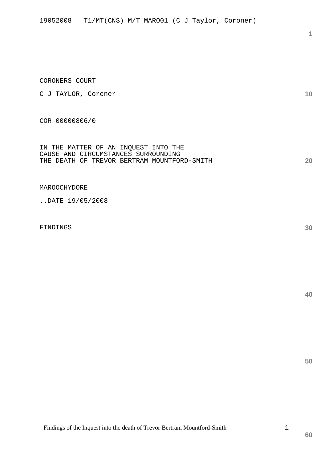## CORONERS COURT

C J TAYLOR, Coroner

COR-00000806/0

IN THE MATTER OF AN INQUEST INTO THE CAUSE AND CIRCUMSTANCES SURROUNDING THE DEATH OF TREVOR BERTRAM MOUNTFORD-SMITH

MAROOCHYDORE

..DATE 19/05/2008

FINDINGS

**20** 

**10** 

**1**

**30** 

**40**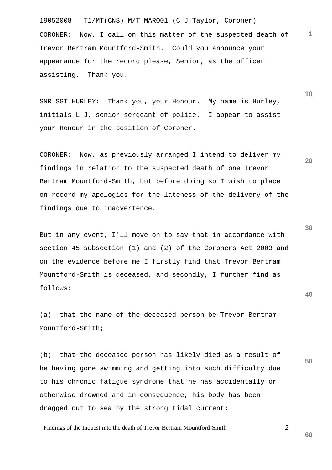19052008 T1/MT(CNS) M/T MARO01 (C J Taylor, Coroner) **1** CORONER: Now, I call on this matter of the suspected death of Trevor Bertram Mountford-Smith. Could you announce your appearance for the record please, Senior, as the officer assisting. Thank you.

SNR SGT HURLEY: Thank you, your Honour. My name is Hurley, initials L J, senior sergeant of police. I appear to assist your Honour in the position of Coroner.

CORONER: Now, as previously arranged I intend to deliver my findings in relation to the suspected death of one Trevor Bertram Mountford-Smith, but before doing so I wish to place on record my apologies for the lateness of the delivery of the findings due to inadvertence.

But in any event, I'll move on to say that in accordance with section 45 subsection (1) and (2) of the Coroners Act 2003 and on the evidence before me I firstly find that Trevor Bertram Mountford-Smith is deceased, and secondly, I further find as follows:

(a) that the name of the deceased person be Trevor Bertram Mountford-Smith;

(b) that the deceased person has likely died as a result of he having gone swimming and getting into such difficulty due to his chronic fatigue syndrome that he has accidentally or otherwise drowned and in consequence, his body has been dragged out to sea by the strong tidal current;

Findings of the Inquest into the death of Trevor Bertram Mountford-Smith 2

**30** 

**20** 

**10** 

**40**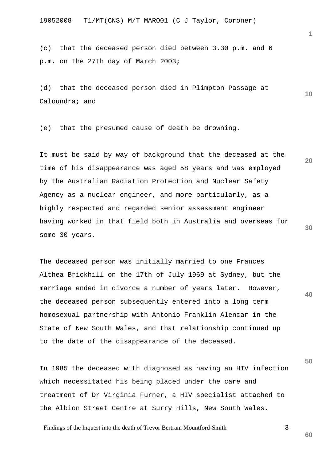(c) that the deceased person died between 3.30 p.m. and 6 p.m. on the 27th day of March 2003;

(d) that the deceased person died in Plimpton Passage at Caloundra; and

(e) that the presumed cause of death be drowning.

**20 30**  It must be said by way of background that the deceased at the time of his disappearance was aged 58 years and was employed by the Australian Radiation Protection and Nuclear Safety Agency as a nuclear engineer, and more particularly, as a highly respected and regarded senior assessment engineer having worked in that field both in Australia and overseas for some 30 years.

The deceased person was initially married to one Frances Althea Brickhill on the 17th of July 1969 at Sydney, but the marriage ended in divorce a number of years later. However, the deceased person subsequently entered into a long term homosexual partnership with Antonio Franklin Alencar in the State of New South Wales, and that relationship continued up to the date of the disappearance of the deceased.

In 1985 the deceased with diagnosed as having an HIV infection which necessitated his being placed under the care and treatment of Dr Virginia Furner, a HIV specialist attached to the Albion Street Centre at Surry Hills, New South Wales.

Findings of the Inquest into the death of Trevor Bertram Mountford-Smith 3

**1**

**10** 

**40** 

**50**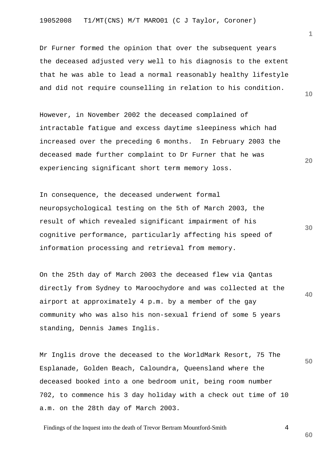Dr Furner formed the opinion that over the subsequent years the deceased adjusted very well to his diagnosis to the extent that he was able to lead a normal reasonably healthy lifestyle and did not require counselling in relation to his condition.

However, in November 2002 the deceased complained of intractable fatigue and excess daytime sleepiness which had increased over the preceding 6 months. In February 2003 the deceased made further complaint to Dr Furner that he was experiencing significant short term memory loss.

In consequence, the deceased underwent formal neuropsychological testing on the 5th of March 2003, the result of which revealed significant impairment of his cognitive performance, particularly affecting his speed of information processing and retrieval from memory.

**40**  On the 25th day of March 2003 the deceased flew via Qantas directly from Sydney to Maroochydore and was collected at the airport at approximately 4 p.m. by a member of the gay community who was also his non-sexual friend of some 5 years standing, Dennis James Inglis.

Mr Inglis drove the deceased to the WorldMark Resort, 75 The Esplanade, Golden Beach, Caloundra, Queensland where the deceased booked into a one bedroom unit, being room number 702, to commence his 3 day holiday with a check out time of 10 a.m. on the 28th day of March 2003.

Findings of the Inquest into the death of Trevor Bertram Mountford-Smith 4

**1**

**10** 

**20** 

**50**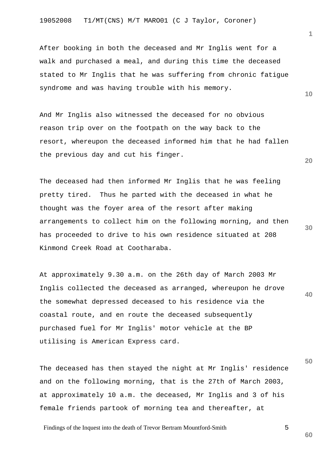After booking in both the deceased and Mr Inglis went for a walk and purchased a meal, and during this time the deceased stated to Mr Inglis that he was suffering from chronic fatigue syndrome and was having trouble with his memory.

And Mr Inglis also witnessed the deceased for no obvious reason trip over on the footpath on the way back to the resort, whereupon the deceased informed him that he had fallen the previous day and cut his finger.

The deceased had then informed Mr Inglis that he was feeling pretty tired. Thus he parted with the deceased in what he thought was the foyer area of the resort after making arrangements to collect him on the following morning, and then has proceeded to drive to his own residence situated at 208 Kinmond Creek Road at Cootharaba.

**40**  At approximately 9.30 a.m. on the 26th day of March 2003 Mr Inglis collected the deceased as arranged, whereupon he drove the somewhat depressed deceased to his residence via the coastal route, and en route the deceased subsequently purchased fuel for Mr Inglis' motor vehicle at the BP utilising is American Express card.

The deceased has then stayed the night at Mr Inglis' residence and on the following morning, that is the 27th of March 2003, at approximately 10 a.m. the deceased, Mr Inglis and 3 of his female friends partook of morning tea and thereafter, at

Findings of the Inquest into the death of Trevor Bertram Mountford-Smith 5

**1**

**10** 

**20**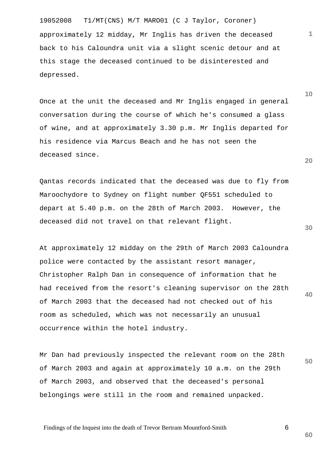19052008 T1/MT(CNS) M/T MARO01 (C J Taylor, Coroner) approximately 12 midday, Mr Inglis has driven the deceased back to his Caloundra unit via a slight scenic detour and at this stage the deceased continued to be disinterested and depressed.

Once at the unit the deceased and Mr Inglis engaged in general conversation during the course of which he's consumed a glass of wine, and at approximately 3.30 p.m. Mr Inglis departed for his residence via Marcus Beach and he has not seen the deceased since.

Qantas records indicated that the deceased was due to fly from Maroochydore to Sydney on flight number QF551 scheduled to depart at 5.40 p.m. on the 28th of March 2003. However, the deceased did not travel on that relevant flight.

**40**  At approximately 12 midday on the 29th of March 2003 Caloundra police were contacted by the assistant resort manager, Christopher Ralph Dan in consequence of information that he had received from the resort's cleaning supervisor on the 28th of March 2003 that the deceased had not checked out of his room as scheduled, which was not necessarily an unusual occurrence within the hotel industry.

Mr Dan had previously inspected the relevant room on the 28th of March 2003 and again at approximately 10 a.m. on the 29th of March 2003, and observed that the deceased's personal belongings were still in the room and remained unpacked.

Findings of the Inquest into the death of Trevor Bertram Mountford-Smith 6

**10** 

**1**

**20** 

**30** 

**50**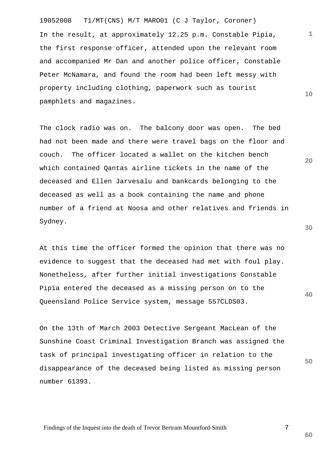19052008 T1/MT(CNS) M/T MARO01 (C J Taylor, Coroner) In the result, at approximately 12.25 p.m. Constable Pipia, the first response officer, attended upon the relevant room and accompanied Mr Dan and another police officer, Constable Peter McNamara, and found the room had been left messy with property including clothing, paperwork such as tourist pamphlets and magazines.

The clock radio was on. The balcony door was open. The bed had not been made and there were travel bags on the floor and couch. The officer located a wallet on the kitchen bench which contained Qantas airline tickets in the name of the deceased and Ellen Jarvesalu and bankcards belonging to the deceased as well as a book containing the name and phone number of a friend at Noosa and other relatives and friends in Sydney.

At this time the officer formed the opinion that there was no evidence to suggest that the deceased had met with foul play. Nonetheless, after further initial investigations Constable Pipia entered the deceased as a missing person on to the Queensland Police Service system, message 557CLDS03.

On the 13th of March 2003 Detective Sergeant MacLean of the Sunshine Coast Criminal Investigation Branch was assigned the task of principal investigating officer in relation to the disappearance of the deceased being listed as missing person number 61393.

Findings of the Inquest into the death of Trevor Bertram Mountford-Smith 7

**20** 

**10** 

**1**

**30** 

**40** 

**50**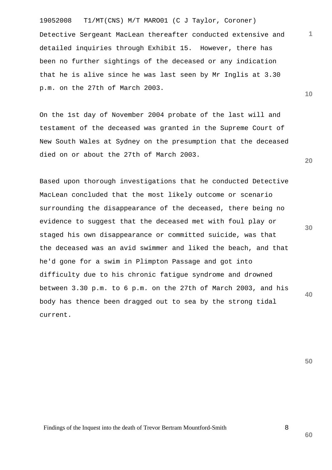19052008 T1/MT(CNS) M/T MARO01 (C J Taylor, Coroner) Detective Sergeant MacLean thereafter conducted extensive and detailed inquiries through Exhibit 15. However, there has been no further sightings of the deceased or any indication that he is alive since he was last seen by Mr Inglis at 3.30 p.m. on the 27th of March 2003.

On the 1st day of November 2004 probate of the last will and testament of the deceased was granted in the Supreme Court of New South Wales at Sydney on the presumption that the deceased died on or about the 27th of March 2003.

**30 40**  Based upon thorough investigations that he conducted Detective MacLean concluded that the most likely outcome or scenario surrounding the disappearance of the deceased, there being no evidence to suggest that the deceased met with foul play or staged his own disappearance or committed suicide, was that the deceased was an avid swimmer and liked the beach, and that he'd gone for a swim in Plimpton Passage and got into difficulty due to his chronic fatigue syndrome and drowned between 3.30 p.m. to 6 p.m. on the 27th of March 2003, and his body has thence been dragged out to sea by the strong tidal current.

**50** 

**1**

**10** 

**20** 

Findings of the Inquest into the death of Trevor Bertram Mountford-Smith 8